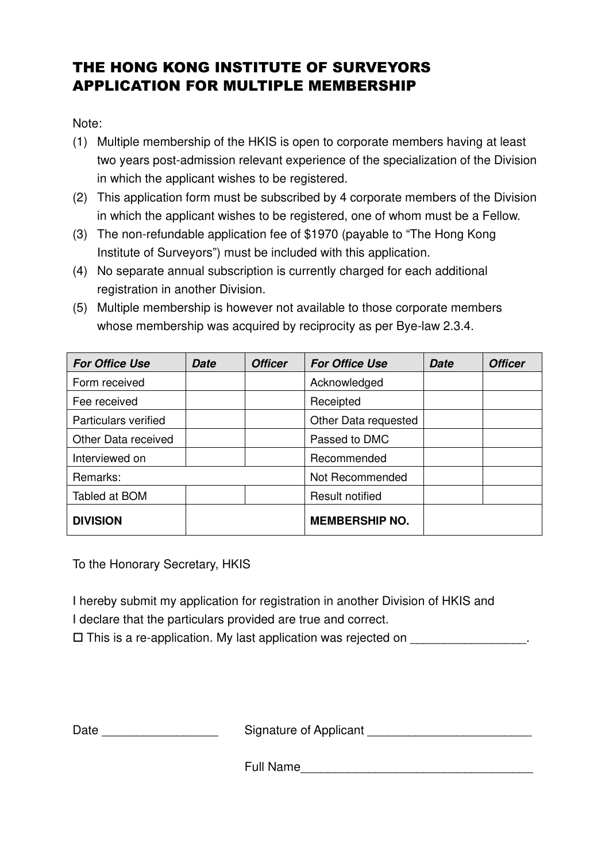## THE HONG KONG INSTITUTE OF SURVEYORS APPLICATION FOR MULTIPLE MEMBERSHIP

Note:

- (1) Multiple membership of the HKIS is open to corporate members having at least two years post-admission relevant experience of the specialization of the Division in which the applicant wishes to be registered.
- (2) This application form must be subscribed by 4 corporate members of the Division in which the applicant wishes to be registered, one of whom must be a Fellow.
- (3) The non-refundable application fee of \$1970 (payable to "The Hong Kong Institute of Surveyors") must be included with this application.
- (4) No separate annual subscription is currently charged for each additional registration in another Division.
- (5) Multiple membership is however not available to those corporate members whose membership was acquired by reciprocity as per Bye-law 2.3.4.

| <b>For Office Use</b>       | <b>Date</b> | <b>Officer</b> | <b>For Office Use</b>  | <b>Date</b> | <b>Officer</b> |
|-----------------------------|-------------|----------------|------------------------|-------------|----------------|
| Form received               |             |                | Acknowledged           |             |                |
| Fee received                |             |                | Receipted              |             |                |
| <b>Particulars verified</b> |             |                | Other Data requested   |             |                |
| Other Data received         |             |                | Passed to DMC          |             |                |
| Interviewed on              |             |                | Recommended            |             |                |
| Remarks:                    |             |                | Not Recommended        |             |                |
| Tabled at BOM               |             |                | <b>Result notified</b> |             |                |
| <b>DIVISION</b>             |             |                | <b>MEMBERSHIP NO.</b>  |             |                |

To the Honorary Secretary, HKIS

I hereby submit my application for registration in another Division of HKIS and I declare that the particulars provided are true and correct.

 $\square$  This is a re-application. My last application was rejected on  $\square$ 

Date \_\_\_\_\_\_\_\_\_\_\_\_\_\_\_\_\_\_\_\_\_\_\_\_\_\_\_\_\_\_\_\_\_Signature of Applicant \_\_\_\_\_\_\_\_\_\_\_\_\_\_\_\_\_\_\_

Full Name